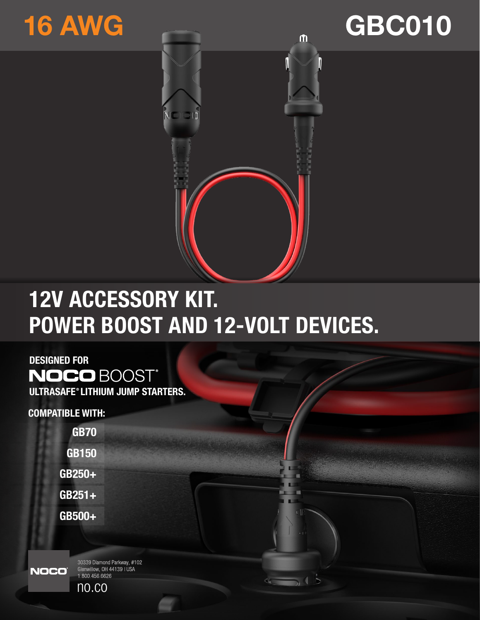# 16 AWG





## 12V ACCESSORY KIT. POWER BOOST AND 12-VOLT DEVICES.

DESIGNED FOR **NOCO BOOST®** ULTRASAFE®LITHIUM JUMP STARTERS.

COMPATIBLE WITH:

GB70 GB150 GB250+ GB251+ GB500+

**NOCO** 

30339 Diamond Parkway, #102 Good Blanding Farkway, in Glenwillow, OH 44139 | USA<br>1.800.456.6626

no.co